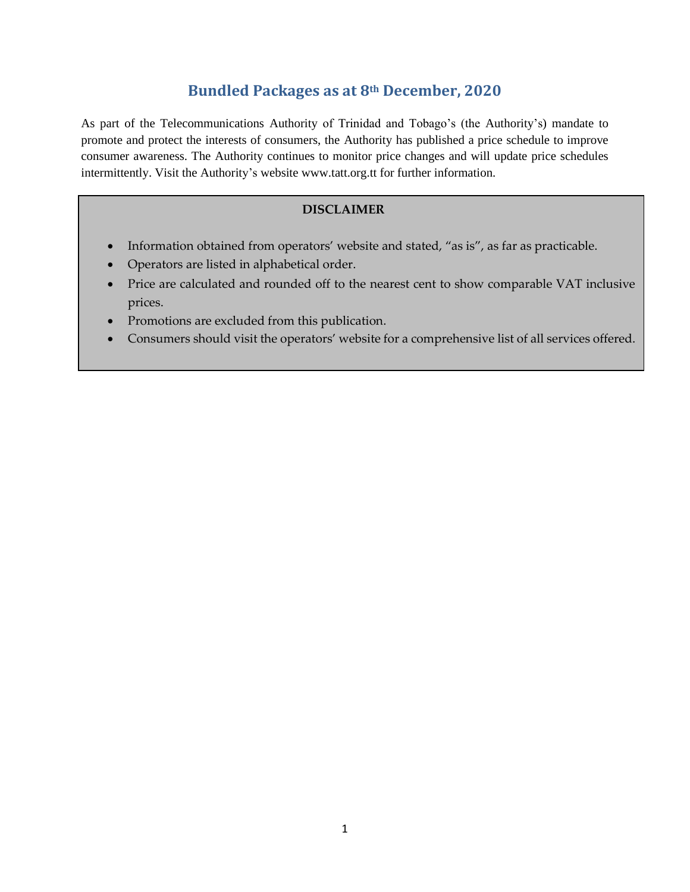# **Bundled Packages as at 8th December, 2020**

As part of the Telecommunications Authority of Trinidad and Tobago's (the Authority's) mandate to promote and protect the interests of consumers, the Authority has published a price schedule to improve consumer awareness. The Authority continues to monitor price changes and will update price schedules intermittently. Visit the Authority's website www.tatt.org.tt for further information.

#### **DISCLAIMER**

- Information obtained from operators' website and stated, "as is", as far as practicable.
- Operators are listed in alphabetical order.
- Price are calculated and rounded off to the nearest cent to show comparable VAT inclusive prices.
- Promotions are excluded from this publication.
- Consumers should visit the operators' website for a comprehensive list of all services offered.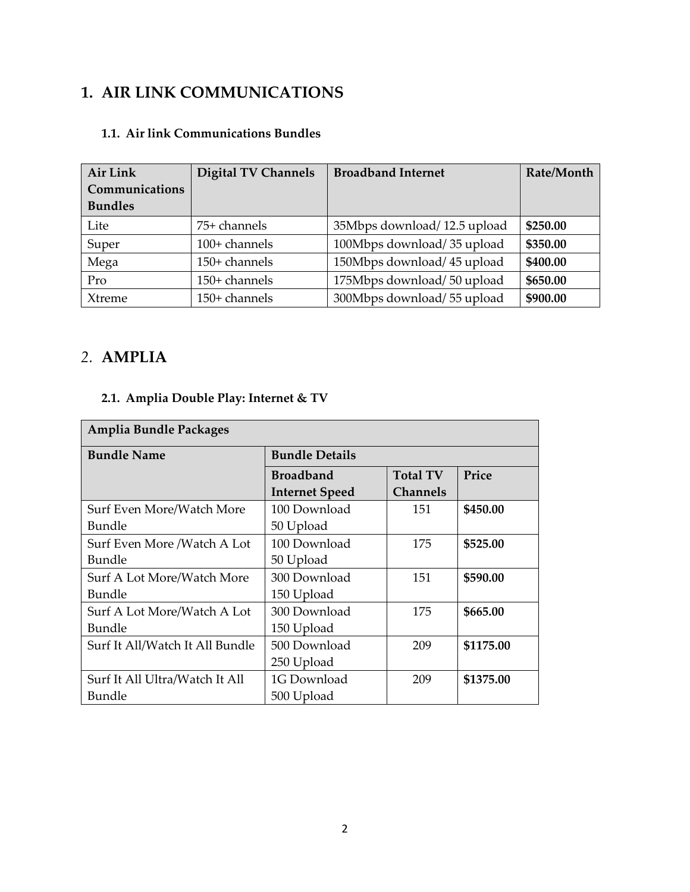## **1. AIR LINK COMMUNICATIONS**

#### **1.1. Air link Communications Bundles**

| Air Link       | <b>Digital TV Channels</b> | <b>Broadband Internet</b>   | Rate/Month |
|----------------|----------------------------|-----------------------------|------------|
| Communications |                            |                             |            |
| <b>Bundles</b> |                            |                             |            |
| Lite           | 75+ channels               | 35Mbps download/12.5 upload | \$250.00   |
| Super          | 100+ channels              | 100Mbps download/35 upload  | \$350.00   |
| Mega           | 150+ channels              | 150Mbps download/45 upload  | \$400.00   |
| Pro            | 150+ channels              | 175Mbps download/50 upload  | \$650.00   |
| Xtreme         | 150+ channels              | 300Mbps download/55 upload  | \$900.00   |

## *2.* **AMPLIA**

## **2.1. Amplia Double Play: Internet & TV**

| Amplia Bundle Packages          |                       |                 |           |  |  |
|---------------------------------|-----------------------|-----------------|-----------|--|--|
| <b>Bundle Name</b>              | <b>Bundle Details</b> |                 |           |  |  |
|                                 | <b>Broadband</b>      | <b>Total TV</b> | Price     |  |  |
|                                 | <b>Internet Speed</b> | <b>Channels</b> |           |  |  |
| Surf Even More/Watch More       | 100 Download          | 151             | \$450.00  |  |  |
| <b>Bundle</b>                   | 50 Upload             |                 |           |  |  |
| Surf Even More /Watch A Lot     | 100 Download          | 175             | \$525.00  |  |  |
| Bundle                          | 50 Upload             |                 |           |  |  |
| Surf A Lot More/Watch More      | 300 Download          | 151             | \$590.00  |  |  |
| <b>Bundle</b>                   | 150 Upload            |                 |           |  |  |
| Surf A Lot More/Watch A Lot     | 300 Download          | 175             | \$665.00  |  |  |
| Bundle                          | 150 Upload            |                 |           |  |  |
| Surf It All/Watch It All Bundle | 500 Download          | 209             | \$1175.00 |  |  |
|                                 | 250 Upload            |                 |           |  |  |
| Surf It All Ultra/Watch It All  | 1G Download           | 209             | \$1375.00 |  |  |
| Bundle                          | 500 Upload            |                 |           |  |  |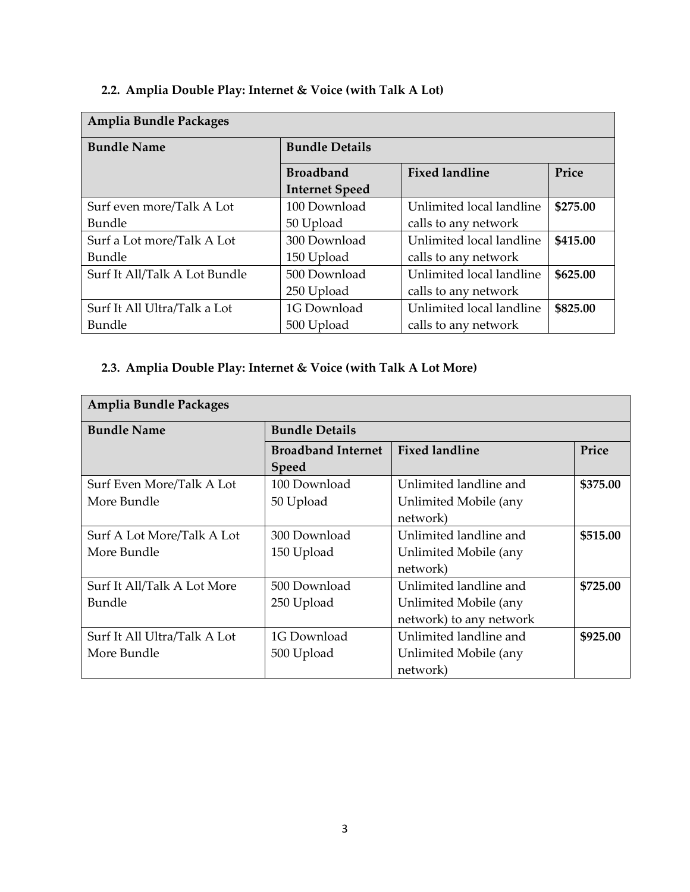# **2.2. Amplia Double Play: Internet & Voice (with Talk A Lot)**

| <b>Amplia Bundle Packages</b> |                       |                          |          |  |  |
|-------------------------------|-----------------------|--------------------------|----------|--|--|
| <b>Bundle Name</b>            | <b>Bundle Details</b> |                          |          |  |  |
|                               | <b>Broadband</b>      | <b>Fixed landline</b>    | Price    |  |  |
|                               | <b>Internet Speed</b> |                          |          |  |  |
| Surf even more/Talk A Lot     | 100 Download          | Unlimited local landline | \$275.00 |  |  |
| Bundle                        | 50 Upload             | calls to any network     |          |  |  |
| Surf a Lot more/Talk A Lot    | 300 Download          | Unlimited local landline | \$415.00 |  |  |
| Bundle                        | 150 Upload            | calls to any network     |          |  |  |
| Surf It All/Talk A Lot Bundle | 500 Download          | Unlimited local landline | \$625.00 |  |  |
|                               | 250 Upload            | calls to any network     |          |  |  |
| Surf It All Ultra/Talk a Lot  | 1G Download           | Unlimited local landline | \$825.00 |  |  |
| Bundle                        | 500 Upload            | calls to any network     |          |  |  |

## **2.3. Amplia Double Play: Internet & Voice (with Talk A Lot More)**

| Amplia Bundle Packages       |                           |                         |          |  |
|------------------------------|---------------------------|-------------------------|----------|--|
| <b>Bundle Name</b>           | <b>Bundle Details</b>     |                         |          |  |
|                              | <b>Broadband Internet</b> | <b>Fixed landline</b>   | Price    |  |
|                              | <b>Speed</b>              |                         |          |  |
| Surf Even More/Talk A Lot    | 100 Download              | Unlimited landline and  | \$375.00 |  |
| More Bundle                  | 50 Upload                 | Unlimited Mobile (any   |          |  |
|                              |                           | network)                |          |  |
| Surf A Lot More/Talk A Lot   | 300 Download              | Unlimited landline and  | \$515.00 |  |
| More Bundle                  | 150 Upload                | Unlimited Mobile (any   |          |  |
|                              |                           | network)                |          |  |
| Surf It All/Talk A Lot More  | 500 Download              | Unlimited landline and  | \$725.00 |  |
| Bundle                       | 250 Upload                | Unlimited Mobile (any   |          |  |
|                              |                           | network) to any network |          |  |
| Surf It All Ultra/Talk A Lot | 1G Download               | Unlimited landline and  | \$925.00 |  |
| More Bundle                  | 500 Upload                | Unlimited Mobile (any   |          |  |
|                              |                           | network)                |          |  |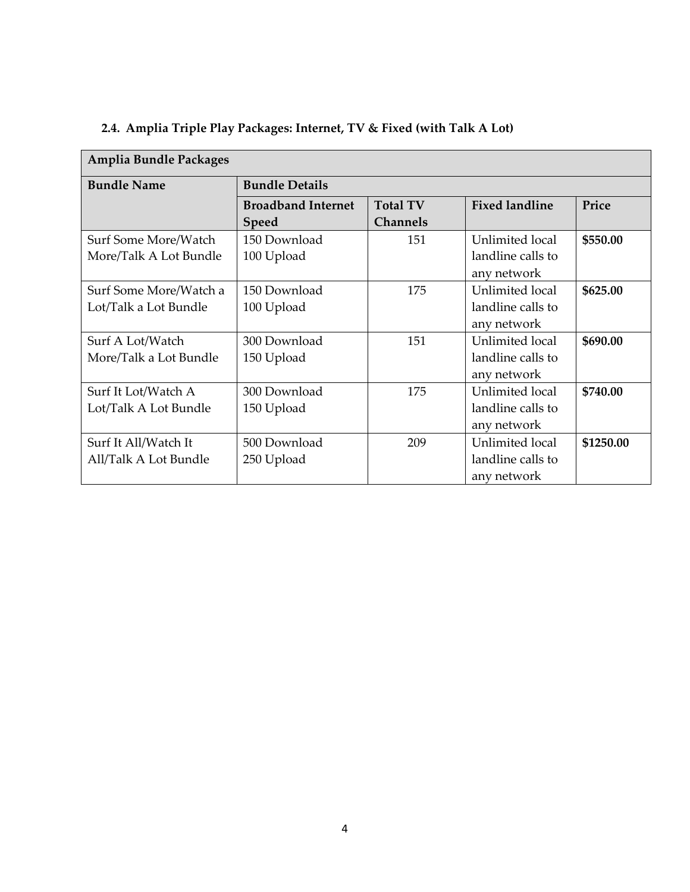| <b>Amplia Bundle Packages</b> |                           |                 |                       |           |  |  |
|-------------------------------|---------------------------|-----------------|-----------------------|-----------|--|--|
| <b>Bundle Name</b>            | <b>Bundle Details</b>     |                 |                       |           |  |  |
|                               | <b>Broadband Internet</b> | <b>Total TV</b> | <b>Fixed landline</b> | Price     |  |  |
|                               | <b>Speed</b>              | <b>Channels</b> |                       |           |  |  |
| Surf Some More/Watch          | 150 Download              | 151             | Unlimited local       | \$550.00  |  |  |
| More/Talk A Lot Bundle        | 100 Upload                |                 | landline calls to     |           |  |  |
|                               |                           |                 | any network           |           |  |  |
| Surf Some More/Watch a        | 150 Download              | 175             | Unlimited local       | \$625.00  |  |  |
| Lot/Talk a Lot Bundle         | 100 Upload                |                 | landline calls to     |           |  |  |
|                               |                           |                 | any network           |           |  |  |
| Surf A Lot/Watch              | 300 Download              | 151             | Unlimited local       | \$690.00  |  |  |
| More/Talk a Lot Bundle        | 150 Upload                |                 | landline calls to     |           |  |  |
|                               |                           |                 | any network           |           |  |  |
| Surf It Lot/Watch A           | 300 Download              | 175             | Unlimited local       | \$740.00  |  |  |
| Lot/Talk A Lot Bundle         | 150 Upload                |                 | landline calls to     |           |  |  |
|                               |                           |                 | any network           |           |  |  |
| Surf It All/Watch It          | 500 Download              | 209             | Unlimited local       | \$1250.00 |  |  |
| All/Talk A Lot Bundle         | 250 Upload                |                 | landline calls to     |           |  |  |
|                               |                           |                 | any network           |           |  |  |

## **2.4. Amplia Triple Play Packages: Internet, TV & Fixed (with Talk A Lot)**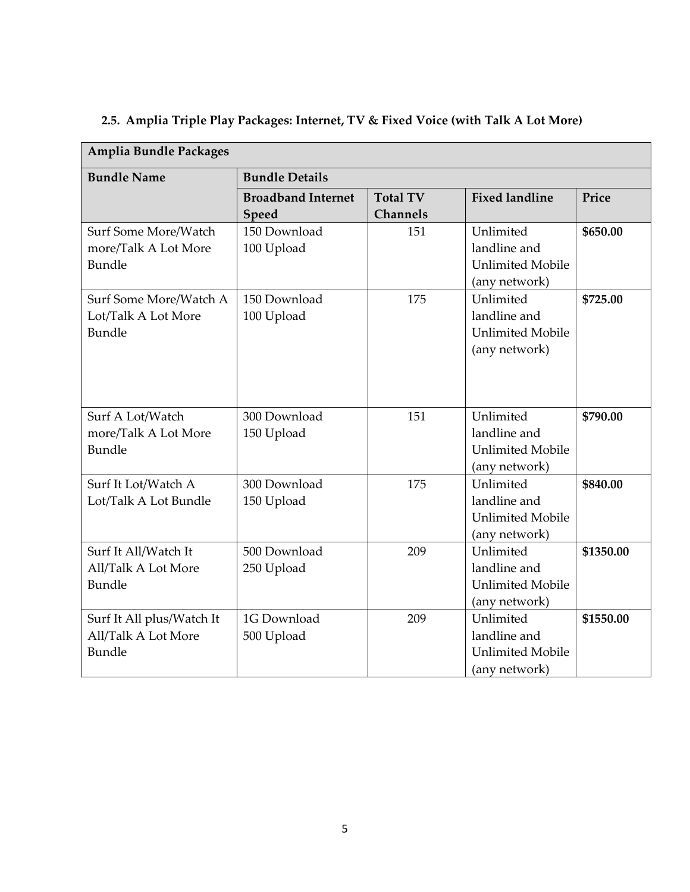| <b>Amplia Bundle Packages</b>                                     |                                    |                                    |                                                                       |           |
|-------------------------------------------------------------------|------------------------------------|------------------------------------|-----------------------------------------------------------------------|-----------|
| <b>Bundle Name</b>                                                | <b>Bundle Details</b>              |                                    |                                                                       |           |
|                                                                   | <b>Broadband Internet</b><br>Speed | <b>Total TV</b><br><b>Channels</b> | <b>Fixed landline</b>                                                 | Price     |
| Surf Some More/Watch<br>more/Talk A Lot More<br>Bundle            | 150 Download<br>100 Upload         | 151                                | Unlimited<br>landline and<br><b>Unlimited Mobile</b><br>(any network) | \$650.00  |
| Surf Some More/Watch A<br>Lot/Talk A Lot More<br>Bundle           | 150 Download<br>100 Upload         | 175                                | Unlimited<br>landline and<br><b>Unlimited Mobile</b><br>(any network) | \$725.00  |
| Surf A Lot/Watch<br>more/Talk A Lot More<br>Bundle                | 300 Download<br>150 Upload         | 151                                | Unlimited<br>landline and<br><b>Unlimited Mobile</b><br>(any network) | \$790.00  |
| Surf It Lot/Watch A<br>Lot/Talk A Lot Bundle                      | 300 Download<br>150 Upload         | 175                                | Unlimited<br>landline and<br><b>Unlimited Mobile</b><br>(any network) | \$840.00  |
| Surf It All/Watch It<br>All/Talk A Lot More<br>Bundle             | 500 Download<br>250 Upload         | 209                                | Unlimited<br>landline and<br><b>Unlimited Mobile</b><br>(any network) | \$1350.00 |
| Surf It All plus/Watch It<br>All/Talk A Lot More<br><b>Bundle</b> | 1G Download<br>500 Upload          | 209                                | Unlimited<br>landline and<br><b>Unlimited Mobile</b><br>(any network) | \$1550.00 |

# **2.5. Amplia Triple Play Packages: Internet, TV & Fixed Voice (with Talk A Lot More)**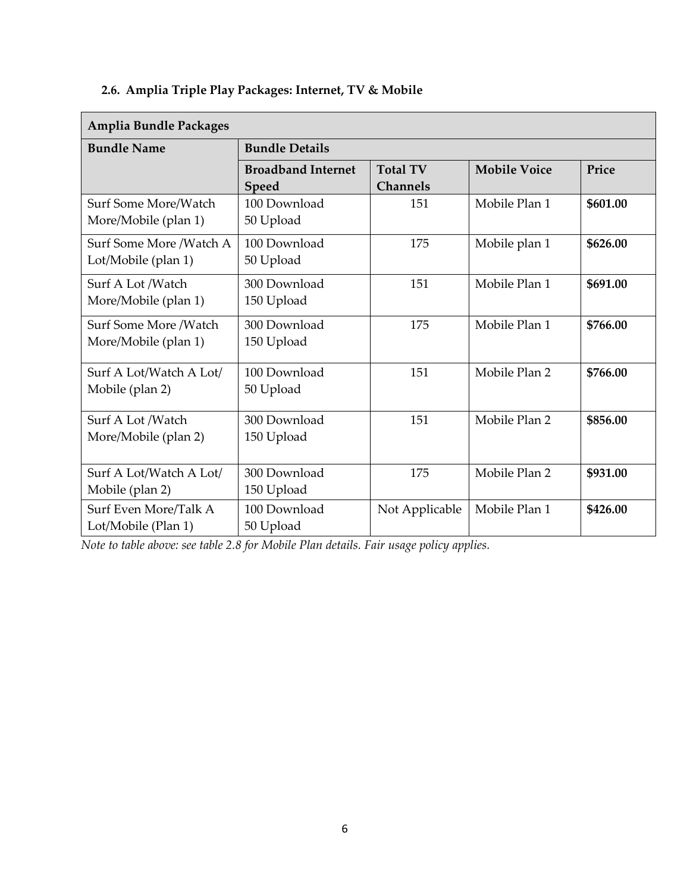# **2.6. Amplia Triple Play Packages: Internet, TV & Mobile**

| <b>Amplia Bundle Packages</b>                  |                                    |                                    |                     |          |  |
|------------------------------------------------|------------------------------------|------------------------------------|---------------------|----------|--|
| <b>Bundle Name</b>                             | <b>Bundle Details</b>              |                                    |                     |          |  |
|                                                | <b>Broadband Internet</b><br>Speed | <b>Total TV</b><br><b>Channels</b> | <b>Mobile Voice</b> | Price    |  |
| Surf Some More/Watch<br>More/Mobile (plan 1)   | 100 Download<br>50 Upload          | 151                                | Mobile Plan 1       | \$601.00 |  |
| Surf Some More /Watch A<br>Lot/Mobile (plan 1) | 100 Download<br>50 Upload          | 175                                | Mobile plan 1       | \$626.00 |  |
| Surf A Lot /Watch<br>More/Mobile (plan 1)      | 300 Download<br>150 Upload         | 151                                | Mobile Plan 1       | \$691.00 |  |
| Surf Some More /Watch<br>More/Mobile (plan 1)  | 300 Download<br>150 Upload         | 175                                | Mobile Plan 1       | \$766.00 |  |
| Surf A Lot/Watch A Lot/<br>Mobile (plan 2)     | 100 Download<br>50 Upload          | 151                                | Mobile Plan 2       | \$766.00 |  |
| Surf A Lot /Watch<br>More/Mobile (plan 2)      | 300 Download<br>150 Upload         | 151                                | Mobile Plan 2       | \$856.00 |  |
| Surf A Lot/Watch A Lot/<br>Mobile (plan 2)     | 300 Download<br>150 Upload         | 175                                | Mobile Plan 2       | \$931.00 |  |
| Surf Even More/Talk A<br>Lot/Mobile (Plan 1)   | 100 Download<br>50 Upload          | Not Applicable                     | Mobile Plan 1       | \$426.00 |  |

*Note to table above: see table 2.8 for Mobile Plan details. Fair usage policy applies.*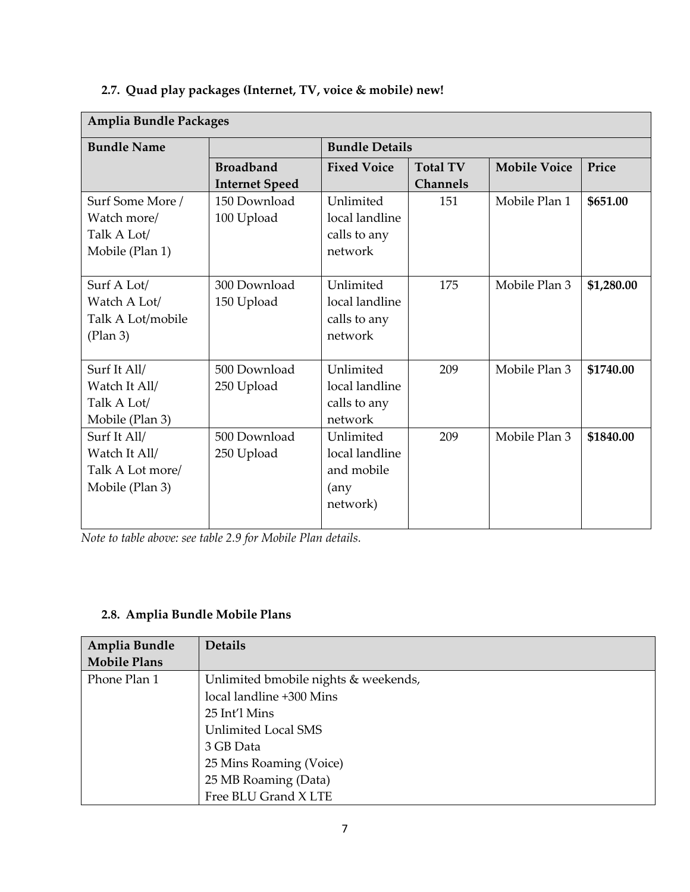# **2.7. Quad play packages (Internet, TV, voice & mobile) new!**

| <b>Amplia Bundle Packages</b> |                       |                       |                 |                     |            |
|-------------------------------|-----------------------|-----------------------|-----------------|---------------------|------------|
| <b>Bundle Name</b>            |                       | <b>Bundle Details</b> |                 |                     |            |
|                               | <b>Broadband</b>      | <b>Fixed Voice</b>    | <b>Total TV</b> | <b>Mobile Voice</b> | Price      |
|                               | <b>Internet Speed</b> |                       | <b>Channels</b> |                     |            |
| Surf Some More /              | 150 Download          | Unlimited             | 151             | Mobile Plan 1       | \$651.00   |
| Watch more/                   | 100 Upload            | local landline        |                 |                     |            |
| Talk A Lot/                   |                       | calls to any          |                 |                     |            |
| Mobile (Plan 1)               |                       | network               |                 |                     |            |
|                               |                       |                       |                 |                     |            |
| Surf A Lot/                   | 300 Download          | Unlimited             | 175             | Mobile Plan 3       | \$1,280.00 |
| Watch A Lot/                  | 150 Upload            | local landline        |                 |                     |            |
| Talk A Lot/mobile             |                       | calls to any          |                 |                     |            |
| (Plan 3)                      |                       | network               |                 |                     |            |
|                               |                       |                       |                 |                     |            |
| Surf It All/                  | 500 Download          | Unlimited             | 209             | Mobile Plan 3       | \$1740.00  |
| Watch It All/                 | 250 Upload            | local landline        |                 |                     |            |
| Talk A Lot/                   |                       | calls to any          |                 |                     |            |
| Mobile (Plan 3)               |                       | network               |                 |                     |            |
| Surf It All/                  | 500 Download          | Unlimited             | 209             | Mobile Plan 3       | \$1840.00  |
| Watch It All/                 | 250 Upload            | local landline        |                 |                     |            |
| Talk A Lot more/              |                       | and mobile            |                 |                     |            |
| Mobile (Plan 3)               |                       | (any)                 |                 |                     |            |
|                               |                       | network)              |                 |                     |            |
|                               |                       |                       |                 |                     |            |

*Note to table above: see table 2.9 for Mobile Plan details.*

#### **2.8. Amplia Bundle Mobile Plans**

| Amplia Bundle       | <b>Details</b>                       |
|---------------------|--------------------------------------|
| <b>Mobile Plans</b> |                                      |
| Phone Plan 1        | Unlimited bmobile nights & weekends, |
|                     | local landline +300 Mins             |
|                     | 25 Int'l Mins                        |
|                     | Unlimited Local SMS                  |
|                     | 3 GB Data                            |
|                     | 25 Mins Roaming (Voice)              |
|                     | 25 MB Roaming (Data)                 |
|                     | Free BLU Grand X LTE                 |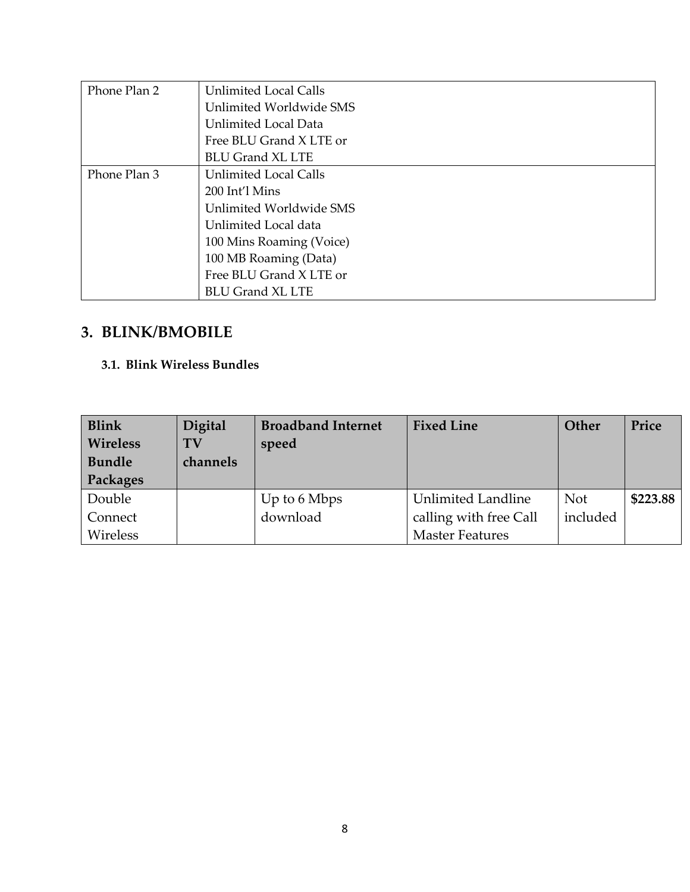| Phone Plan 2 | <b>Unlimited Local Calls</b> |
|--------------|------------------------------|
|              | Unlimited Worldwide SMS      |
|              | Unlimited Local Data         |
|              | Free BLU Grand X LTE or      |
|              | <b>BLU Grand XL LTE</b>      |
| Phone Plan 3 | <b>Unlimited Local Calls</b> |
|              | $200$ Int'l Mins             |
|              | Unlimited Worldwide SMS      |
|              | Unlimited Local data         |
|              | 100 Mins Roaming (Voice)     |
|              | 100 MB Roaming (Data)        |
|              | Free BLU Grand X LTE or      |
|              | <b>BLU Grand XL LTE</b>      |

# **3. BLINK/BMOBILE**

#### **3.1. Blink Wireless Bundles**

| Blink<br><b>Wireless</b><br><b>Bundle</b><br>Packages | Digital<br><b>TV</b><br>channels | <b>Broadband Internet</b><br>speed | <b>Fixed Line</b>         | Other      | Price    |
|-------------------------------------------------------|----------------------------------|------------------------------------|---------------------------|------------|----------|
| Double                                                |                                  | Up to 6 Mbps                       | <b>Unlimited Landline</b> | <b>Not</b> | \$223.88 |
| Connect                                               |                                  | download                           | calling with free Call    | included   |          |
| Wireless                                              |                                  |                                    | <b>Master Features</b>    |            |          |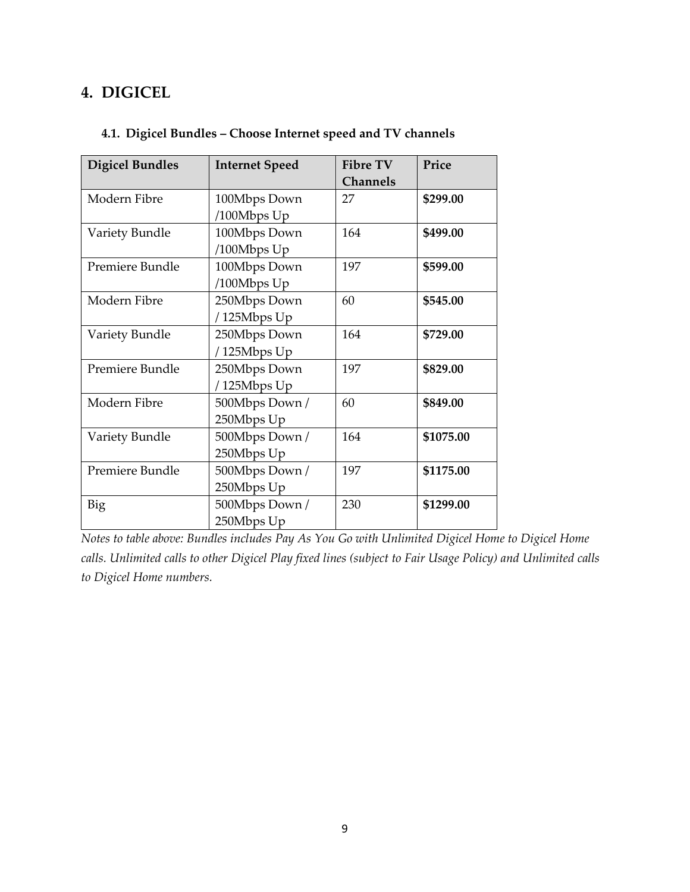## **4. DIGICEL**

|  |  | 4.1. Digicel Bundles - Choose Internet speed and TV channels |  |  |
|--|--|--------------------------------------------------------------|--|--|
|  |  |                                                              |  |  |

| <b>Digicel Bundles</b> | <b>Internet Speed</b> | <b>Fibre TV</b> | Price     |
|------------------------|-----------------------|-----------------|-----------|
|                        |                       | <b>Channels</b> |           |
| Modern Fibre           | 100Mbps Down          | 27              | \$299.00  |
|                        | /100Mbps Up           |                 |           |
| Variety Bundle         | 100Mbps Down          | 164             | \$499.00  |
|                        | /100Mbps Up           |                 |           |
| Premiere Bundle        | 100Mbps Down          | 197             | \$599.00  |
|                        | /100Mbps Up           |                 |           |
| Modern Fibre           | 250Mbps Down          | 60              | \$545.00  |
|                        | /125Mbps Up           |                 |           |
| Variety Bundle         | 250Mbps Down          | 164             | \$729.00  |
|                        | /125Mbps Up           |                 |           |
| Premiere Bundle        | 250Mbps Down          | 197             | \$829.00  |
|                        | /125Mbps Up           |                 |           |
| Modern Fibre           | 500Mbps Down /        | 60              | \$849.00  |
|                        | 250Mbps Up            |                 |           |
| Variety Bundle         | 500Mbps Down /        | 164             | \$1075.00 |
|                        | 250Mbps Up            |                 |           |
| Premiere Bundle        | 500Mbps Down /        | 197             | \$1175.00 |
|                        | 250Mbps Up            |                 |           |
| Big                    | 500Mbps Down /        | 230             | \$1299.00 |
|                        | 250Mbps Up            |                 |           |

*Notes to table above: Bundles includes Pay As You Go with Unlimited Digicel Home to Digicel Home calls. Unlimited calls to other Digicel Play fixed lines (subject to Fair Usage Policy) and Unlimited calls to Digicel Home numbers.*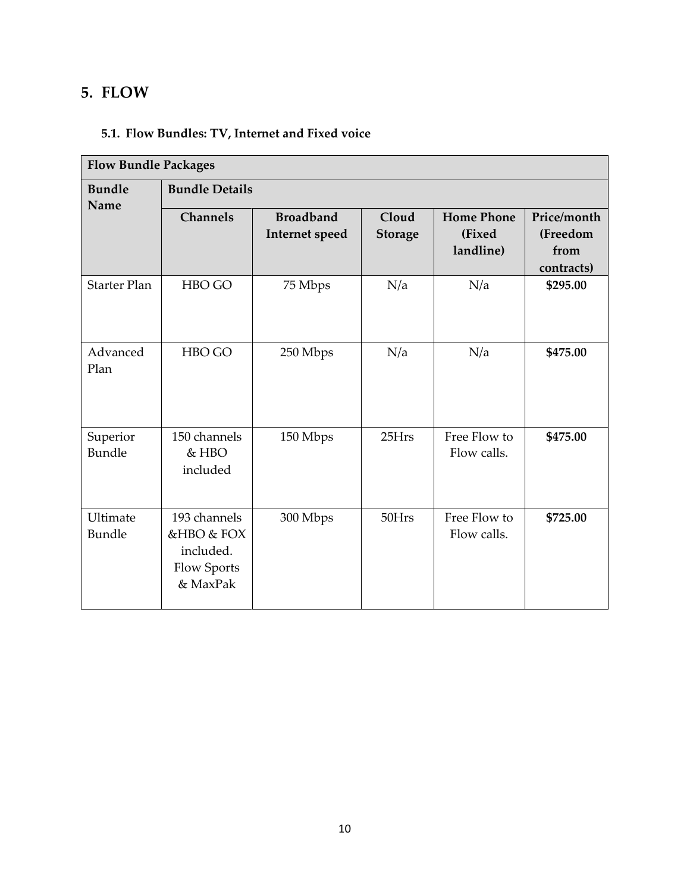## **5. FLOW**

## **5.1. Flow Bundles: TV, Internet and Fixed voice**

| <b>Flow Bundle Packages</b> |                                                                    |                                           |                         |                                          |                                               |  |  |
|-----------------------------|--------------------------------------------------------------------|-------------------------------------------|-------------------------|------------------------------------------|-----------------------------------------------|--|--|
| <b>Bundle</b><br>Name       | <b>Bundle Details</b>                                              |                                           |                         |                                          |                                               |  |  |
|                             | <b>Channels</b>                                                    | <b>Broadband</b><br><b>Internet</b> speed | Cloud<br><b>Storage</b> | <b>Home Phone</b><br>(Fixed<br>landline) | Price/month<br>(Freedom<br>from<br>contracts) |  |  |
| <b>Starter Plan</b>         | HBO GO                                                             | 75 Mbps                                   | N/a                     | N/a                                      | \$295.00                                      |  |  |
| Advanced<br>Plan            | HBO GO                                                             | 250 Mbps                                  | N/a                     | N/a                                      | \$475.00                                      |  |  |
| Superior<br>Bundle          | 150 channels<br>& HBO<br>included                                  | 150 Mbps                                  | 25Hrs                   | Free Flow to<br>Flow calls.              | \$475.00                                      |  |  |
| Ultimate<br>Bundle          | 193 channels<br>&HBO & FOX<br>included.<br>Flow Sports<br>& MaxPak | 300 Mbps                                  | 50Hrs                   | Free Flow to<br>Flow calls.              | \$725.00                                      |  |  |